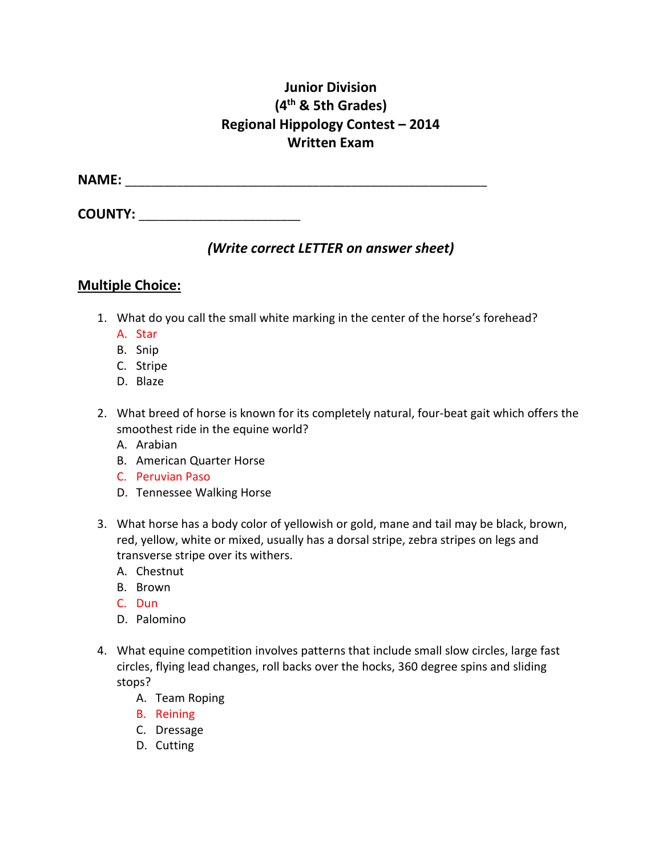## **Junior Division (4th & 5th Grades) Regional Hippology Contest – 2014 Written Exam**

**NAME:** \_\_\_\_\_\_\_\_\_\_\_\_\_\_\_\_\_\_\_\_\_\_\_\_\_\_\_\_\_\_\_\_\_\_\_\_\_\_\_\_\_\_\_\_\_\_\_\_\_\_\_\_\_\_\_\_

**COUNTY:**  $\blacksquare$ 

## *(Write correct LETTER on answer sheet)*

### **Multiple Choice:**

- 1. What do you call the small white marking in the center of the horse's forehead?
	- A. Star
	- B. Snip
	- C. Stripe
	- D. Blaze
- 2. What breed of horse is known for its completely natural, four-beat gait which offers the smoothest ride in the equine world?
	- A. Arabian
	- B. American Quarter Horse
	- C. Peruvian Paso
	- D. Tennessee Walking Horse
- 3. What horse has a body color of yellowish or gold, mane and tail may be black, brown, red, yellow, white or mixed, usually has a dorsal stripe, zebra stripes on legs and transverse stripe over its withers.
	- A. Chestnut
	- B. Brown
	- C. Dun
	- D. Palomino
- 4. What equine competition involves patterns that include small slow circles, large fast circles, flying lead changes, roll backs over the hocks, 360 degree spins and sliding stops?
	- A. Team Roping
	- B. Reining
	- C. Dressage
	- D. Cutting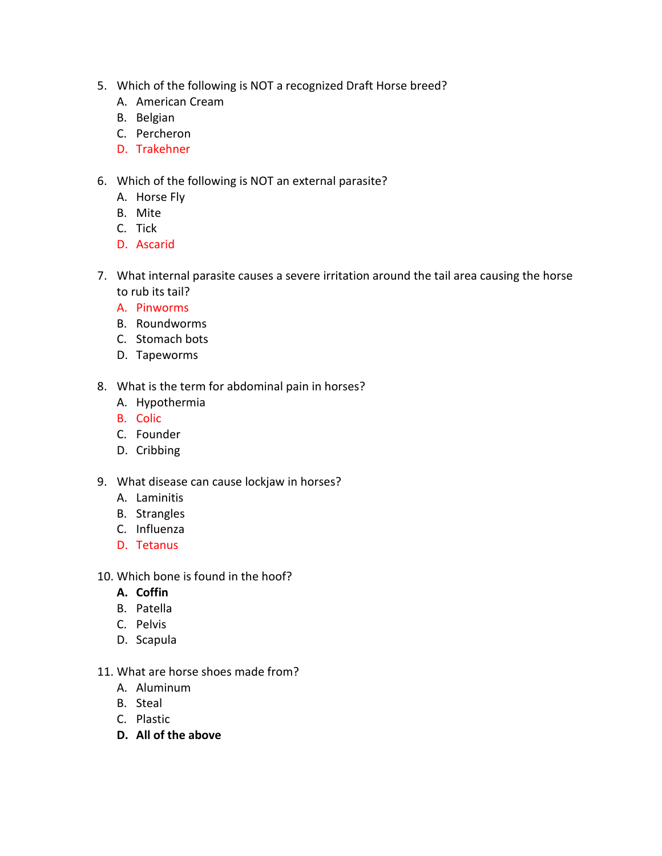- 5. Which of the following is NOT a recognized Draft Horse breed?
	- A. American Cream
	- B. Belgian
	- C. Percheron
	- D. Trakehner
- 6. Which of the following is NOT an external parasite?
	- A. Horse Fly
	- B. Mite
	- C. Tick
	- D. Ascarid
- 7. What internal parasite causes a severe irritation around the tail area causing the horse to rub its tail?
	- A. Pinworms
	- B. Roundworms
	- C. Stomach bots
	- D. Tapeworms
- 8. What is the term for abdominal pain in horses?
	- A. Hypothermia
	- B. Colic
	- C. Founder
	- D. Cribbing
- 9. What disease can cause lockjaw in horses?
	- A. Laminitis
	- B. Strangles
	- C. Influenza
	- D. Tetanus
- 10. Which bone is found in the hoof?
	- **A. Coffin**
	- B. Patella
	- C. Pelvis
	- D. Scapula
- 11. What are horse shoes made from?
	- A. Aluminum
	- B. Steal
	- C. Plastic
	- **D. All of the above**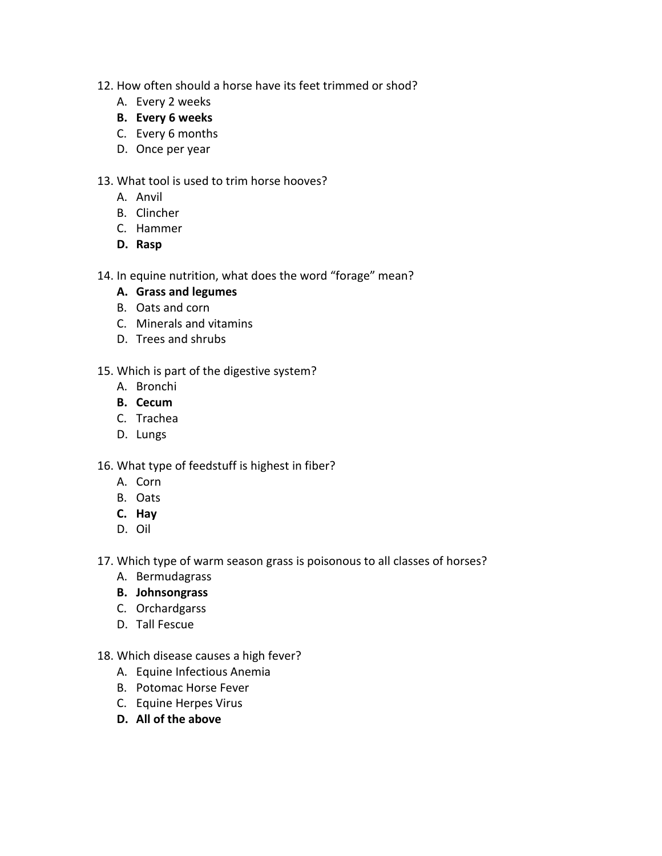- 12. How often should a horse have its feet trimmed or shod?
	- A. Every 2 weeks
	- **B. Every 6 weeks**
	- C. Every 6 months
	- D. Once per year

#### 13. What tool is used to trim horse hooves?

- A. Anvil
- B. Clincher
- C. Hammer
- **D. Rasp**

#### 14. In equine nutrition, what does the word "forage" mean?

- **A. Grass and legumes**
- B. Oats and corn
- C. Minerals and vitamins
- D. Trees and shrubs
- 15. Which is part of the digestive system?
	- A. Bronchi
	- **B. Cecum**
	- C. Trachea
	- D. Lungs

#### 16. What type of feedstuff is highest in fiber?

- A. Corn
- B. Oats
- **C. Hay**
- D. Oil
- 17. Which type of warm season grass is poisonous to all classes of horses?
	- A. Bermudagrass
	- **B. Johnsongrass**
	- C. Orchardgarss
	- D. Tall Fescue
- 18. Which disease causes a high fever?
	- A. Equine Infectious Anemia
	- B. Potomac Horse Fever
	- C. Equine Herpes Virus
	- **D. All of the above**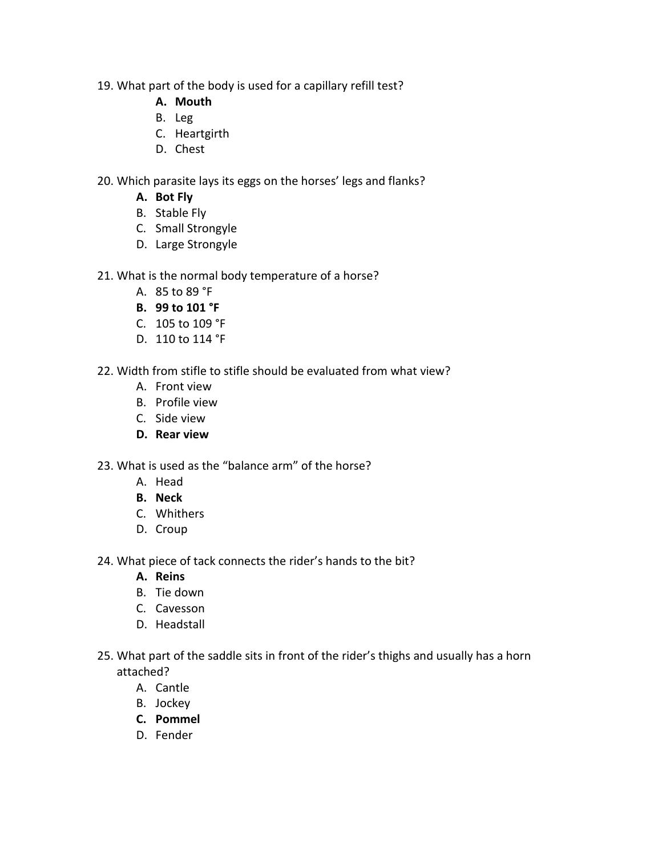- 19. What part of the body is used for a capillary refill test?
	- **A. Mouth**
	- B. Leg
	- C. Heartgirth
	- D. Chest
- 20. Which parasite lays its eggs on the horses' legs and flanks?
	- **A. Bot Fly**
	- B. Stable Fly
	- C. Small Strongyle
	- D. Large Strongyle
- 21. What is the normal body temperature of a horse?
	- A. 85 to 89 °F
	- **B. 99 to 101 °F**
	- C. 105 to 109 °F
	- D. 110 to 114 °F
- 22. Width from stifle to stifle should be evaluated from what view?
	- A. Front view
	- B. Profile view
	- C. Side view
	- **D. Rear view**
- 23. What is used as the "balance arm" of the horse?
	- A. Head
	- **B. Neck**
	- C. Whithers
	- D. Croup
- 24. What piece of tack connects the rider's hands to the bit?
	- **A. Reins**
	- B. Tie down
	- C. Cavesson
	- D. Headstall
- 25. What part of the saddle sits in front of the rider's thighs and usually has a horn attached?
	- A. Cantle
	- B. Jockey
	- **C. Pommel**
	- D. Fender